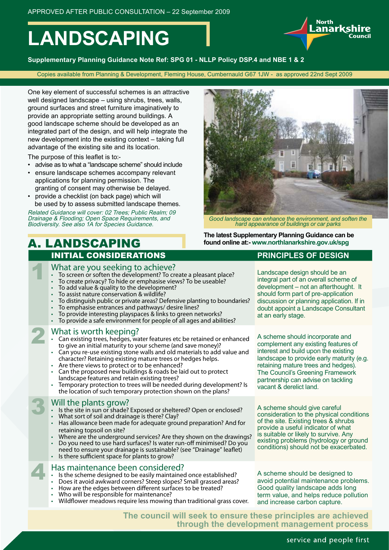# **LANDSCAPING**

**Supplementary Planning Guidance Note Ref: SPG 01 - NLLP Policy DSP.4 and NBE 1 & 2**

Copies available from Planning & Development, Fleming House, Cumbernauld G67 1JW - as approved 22nd Sept 2009

One key element of successful schemes is an attractive well designed landscape – using shrubs, trees, walls, ground surfaces and street furniture imaginatively to provide an appropriate setting around buildings. A good landscape scheme should be developed as an integrated part of the design, and will help integrate the new development into the existing context – taking full advantage of the existing site and its location.

The purpose of this leaflet is to:-

- advise as to what a "landscape scheme" should include
- ensure landscape schemes accompany relevant applications for planning permission. The granting of consent may otherwise be delayed.
- provide a checklist (on back page) which will
- be used by to assess submitted landscape themes. Related Guidance will cover: 02 Trees; Public Realm; 09 Drainage & Flooding; Open Space Requirements, and

Biodiversity. See also 1A for Species Guidance.

### A. LANDSCAPING INITIAL CONSIDERATIONS **PRINCIPLES OF DESIGN**

- 
- What are you seeking to achieve?<br>• To screen or soften the development? To create a pleasant place?<br>• To create privacy? To hide or emphasise views? To be useable?
- 
- 
- 
- To add value & quality to the development?<br>To assist nature conservation & wildlife?<br>To distinguish public or private areas? Defensive planting to boundaries?<br>To emphasise entrances and pathways/ desire lines?<br>To provide i
- 
- 
- 

What is worth keeping?

- Can existing trees, hedges, water features etc be retained or enhanced to give an initial maturity to your scheme (and save money)?
- Can you re-use existing stone walls and old materials to add value and character? Retaining existing mature trees or hedges helps.
- Are there views to protect or to be enhanced?
- Can the proposed new buildings & roads be laid out to protect landscape features and retain existing trees?
- Temporary protection to trees will be needed during development? Is the location of such temporary protection shown on the plans?

- Will the plants grow?<br>• Is the site in sun or shade? Exposed or shelter<br>• What sort of soil and drainage is there? Clay? Is the site in sun or shade? Exposed or sheltered? Open or enclosed?
- 
- Has allowance been made for adequate ground preparation? And for retaining topsoil on site?
- Where are the underground services? Are they shown on the drawings?
- Do you need to use hard surfaces? Is water run-off minimised? Do you
- need to ensure your drainage is sustainable? (see "Drainage" leaflet) Is there sufficient space for plants to grow?

# Has maintenance been considered?<br>• Is the scheme designed to be easily maintained<br>• Does it avoid awkward corners? Steep slopes?

- Is the scheme designed to be easily maintained once established?
- Does it avoid awkward corners? Steep slopes? Small grassed areas?
- How are the edges between different surfaces to be treated?
- Who will be responsible for maintenance?
- Wildflower meadows require less mowing than traditional grass cover.



*Good landscape can enhance the environment, and soften the hard appearance of buildings or car parks*

**The latest Supplementary Planning Guidance can be found online at:- www.northlanarkshire.gov.uk/spg**

Landscape design should be an integral part of an overall scheme of development – not an afterthought. It should form part of pre-application discussion or planning application. If in doubt appoint a Landscape Consultant at an early stage.

A scheme should incorporate and complement any existing features of interest and build upon the existing landscape to provide early maturity (e.g. retaining mature trees and hedges). The Council's Greening Framework partnership can advise on tackling vacant & derelict land.

A scheme should give careful consideration to the physical conditions of the site. Existing trees & shrubs provide a useful indicator of what is suitable or likely to survive. Any existing problems (hydrology or ground conditions) should not be exacerbated.

A scheme should be designed to avoid potential maintenance problems. Good quality landscape adds long term value, and helps reduce pollution and increase carbon capture.

**The council will seek to ensure these principles are achieved through the development management process**

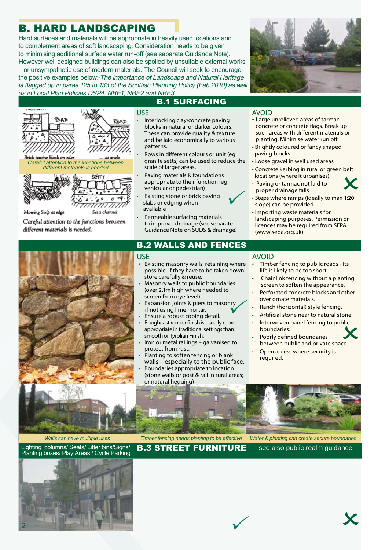### B. HARD LANDSCAPING

Hard surfaces and materials will be appropriate in heavily used locations and to complement areas of soft landscaping. Consideration needs to be given to minimising additional surface water run-off (see separate Guidance Note). However well designed buildings can also be spoiled by unsuitable external works – or unsympathetic use of modern materials. The Council will seek to encourage the positive examples below:-The importance of Landscape and Natural Heritage is flagged up in paras 125 to 133 of the Scottish Planning Policy (Feb 2010) as well as in Local Plan Policies DSP4, NBE1, NBE2 and NBE3.

USE



• Large unrelieved areas of tarmac, concrete or concrete flags. Break up such areas with different materials or planting. Minimise water run off. • Brightly coloured or fancy shaped

• Loose gravel in well used areas



**SPTT** 

Setts channel



Mowing Strip at edge

Careful attention to the junctions between different materials is needed.

### B.1 SURFACING

- Interlocking clay/concrete paving blocks in natural or darker colours. These can provide quality & texture and be laid economically to various patterns.
- Rows in different colours or unit (eg granite setts) can be used to reduce the scale of larger areas.
- Paving materials & foundations appropriate to their function (eg vehicular or pedestrian)
- Existing stone or brick paving slabs or edging when available
- Permeable surfacing materials to improve drainage (see separate Guidance Note on SUDS & drainage)

#### • Concrete kerbing in rural or green belt locations (where it urbanises)

 $\checkmark$ 

paving blocks

AVOID

- Paving or tarmac not laid to proper drainage falls • Concrete kerbing in rural or green belt<br>locations (where it urbanises)<br>• Paving or tarmac not laid to<br>proper drainage falls<br>• Steps where ramps (ideally to max 1:20
- slope) can be provided
- Importing waste materials for landscaping purposes. Permission or licences may be required from SEPA (www.sepa.org.uk)

### B.2 WALLS AND FENCES

- USE
- Existing masonry walls retaining where possible. If they have to be taken downstore carefully & reuse.
- Masonry walls to public boundaries (over 2.1m high where needed to screen from eye level).
- Expansion joints & piers to masonry<br>
if not using lime mortar. if not using lime mortar.
- Ensure a robust coping detail.
- Roughcast render finish is usually more appropriate in traditional settings than smooth or Tyrolian Finish.
- Iron or metal railings galvanised to protect from rust.
- Planting to soften fencing or blank walls – especially to the public face.
- Boundaries appropriate to location (stone walls or post & rail in rural areas; or natural hedging)

#### AVOID

- Timber fencing to public roads its life is likely to be too short
- Chainlink fencing without a planting screen to soften the appearance.
- Perforated concrete blocks and other over ornate materials.
- Ranch (horizontal) style fencing.
- Artificial stone near to natural stone.
- Interwoven panel fencing to public boundaries. blic<br>ce
- Poorly defined boundaries between public and private space
- Open access where security is required.

#### *Walls can have multiple uses Timber fencing needs planting to be effective Water & planting can create secure boundaries*

Lighting columns/ Seats/ Litter bins/Signs/ Planting boxes/ Play Areas / Cycle Parking **B.3 STREET FURNITURE** see also public realm guidance



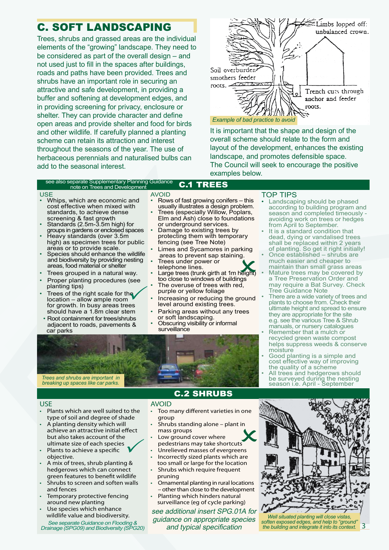### C. SOFT LANDSCAPING

Trees, shrubs and grassed areas are the individual elements of the "growing" landscape. They need to be considered as part of the overall design – and not used just to fill in the spaces after buildings, roads and paths have been provided. Trees and shrubs have an important role in securing an attractive and safe development, in providing a buffer and softening at development edges, and in providing screening for privacy, enclosure or shelter. They can provide character and define open areas and provide shelter and food for birds and other wildlife. If carefully planned a planting scheme can retain its attraction and interest throughout the seasons of the year. The use of herbaceous perennials and naturalised bulbs can add to the seasonal interest.



It is important that the shape and design of the overall scheme should relate to the form and layout of the development, enhances the existing landscape, and promotes defensible space. The Council will seek to encourage the positive examples below.

#### C.1 TREES see also separate Supplementary Planning Guidance note on Trees and Development

#### **USE**

- Whips, which are economic and cost effective when mixed with standards, to achieve dense screening & fast growth
- Standards (2.5m-3.5m high) for groups in gardens or enclosed spaces • Heavy standards (over 3.5m
- high) as specimen trees for public areas or to provide scale.
- Species should enhance the wildlife and biodiversity by providing nesting areas, food material or shelter
- Trees grouped in a natural way.
- Proper planting procedures (see planting tips)
- planting tips)<br>• Trees of the right scale for the location – allow ample room for growth. In busy areas trees should have a 1.8m clear stem
- Root containment for trees/shrubs adjacent to roads, pavements & car parks

AVOID

- Rows of fast growing conifers this usually illustrates a design problem.
- Trees (especially Willow, Poplars, Elm and Ash) close to foundations or underground services.
- Damage to existing trees by protecting them with temporary fencing (see Tree Note)
- Limes and Sycamores in parking areas to prevent sap staining.
- Trees under power or telephone lines
- Large trees (trunk girth at 1m height) too close to windows of buildings The overuse of trees with red,
- purple or yellow foliage
- Increasing or reducing the ground level around existing trees.
- Parking areas without any trees or soft landscaping.
- Obscuring visibility or informal surveillance



#### USE

- Plants which are well suited to the type of soil and degree of shade
- A planting density which will achieve an attractive initial effect
- but also takes account of the ultimate size of each species Plants to achieve a specific  $\checkmark$
- objective. • A mix of trees, shrub planting & hedgerows which can connect
- green features to benefit wildlife Shrubs to screen and soften walls and fences
- Temporary protective fencing around new planting
- Use species which enhance wildlife value and biodiversity. See separate Guidance on Flooding & Drainage (SPG09) and Biodiversity (SPG20)

### C.2 SHRUBS

- AVOID • Too many different varieties in one group
- Shrubs standing alone plant in mass groups
- Low ground cover where pedestrians may take shortcuts First First Shrubs standing alone – plant in<br>
First First Mass groups<br>
Low ground cover where<br>
pedestrians may take shortcuts<br>
Unrelieved masses of evergreens
	-
	- Incorrectly sized plants which are too small or large for the location
	- Shrubs which require frequent pruning
	- Ornamental planting in rural locations – other than close to the development
	- Planting which hinders natural surveillance (eg of cycle parking)

see additional insert SPG.01A for guidance on appropriate species and typical specification

### TOP TIPS

- Landscaping should be phased according to building program and season and completed timeously avoiding work on trees or hedges from April to September.
- It is a standard condition that dead, dying or vandalised trees shall be replaced within 2 years
- of planting. So get it right initially!<br>Once established shrubs are much easier and cheaper to maintain than small grass areas
- Mature trees may be covered by a Tree Preservation Order and may require a Bat Survey. Check Tree Guidance Note
- There are a wide variety of trees and plants to choose from. Check their ultimate height and spread to ensure they are appropriate for the site e.g. see the various Tree & Shrub manuals, or nursery catalogues
- Remember that a mulch or recycled green waste compost helps suppress weeds & conserve moisture
- Good planting is a simple and cost effective way of improving the quality of a scheme
- All trees and hedgerows should be surveyed during the nesting season i.e. April - September



*Well situated planting will close vistas, soften exposed edges, and help to "ground" the building and integrate it into its context.* 3

ng.<br>heighn<br>ngs